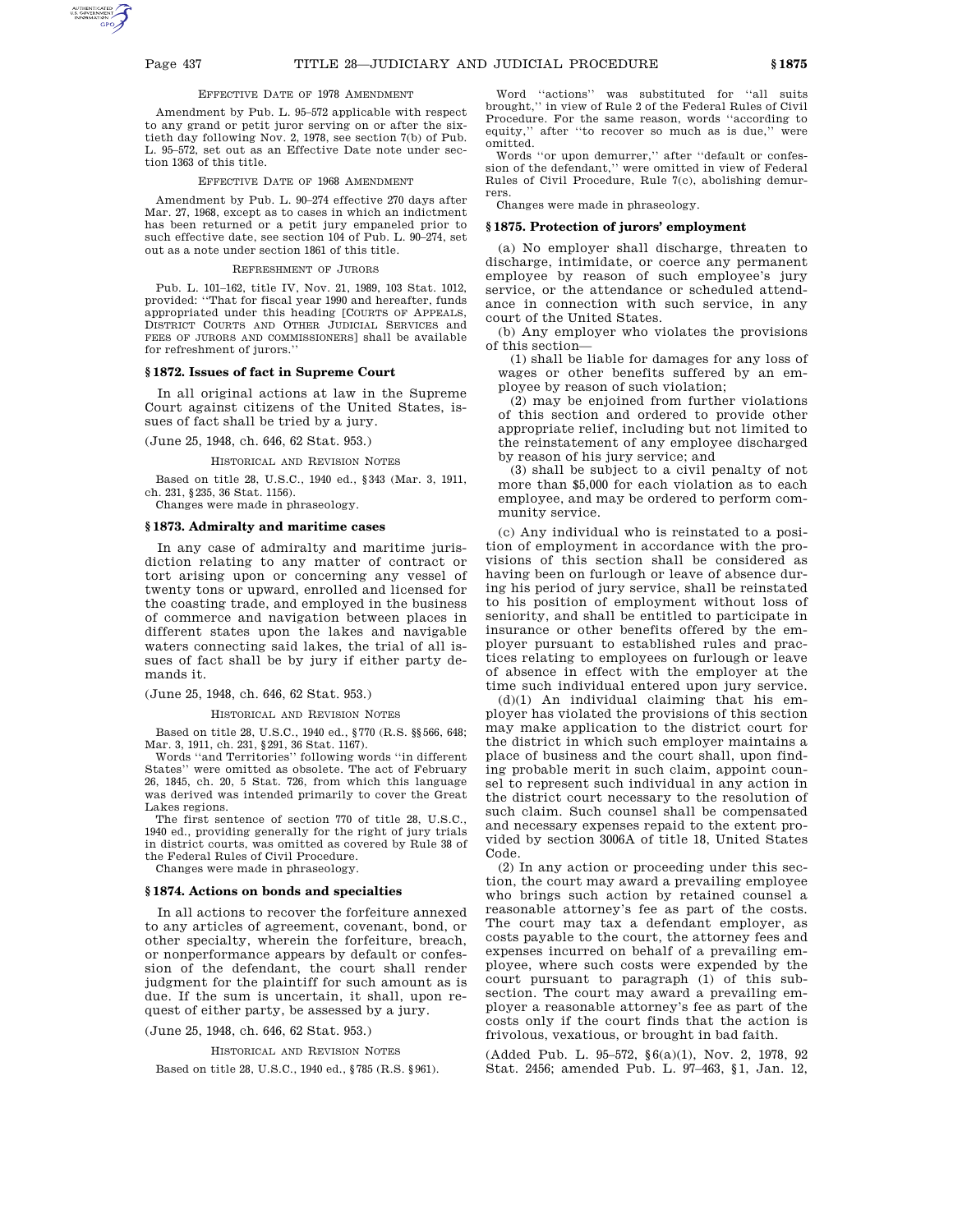## EFFECTIVE DATE OF 1978 AMENDMENT

Amendment by Pub. L. 95–572 applicable with respect to any grand or petit juror serving on or after the sixtieth day following Nov. 2, 1978, see section 7(b) of Pub. L. 95–572, set out as an Effective Date note under section 1363 of this title.

## EFFECTIVE DATE OF 1968 AMENDMENT

Amendment by Pub. L. 90–274 effective 270 days after Mar. 27, 1968, except as to cases in which an indictment has been returned or a petit jury empaneled prior to such effective date, see section 104 of Pub. L. 90–274, set out as a note under section 1861 of this title.

#### REFRESHMENT OF JURORS

Pub. L. 101–162, title IV, Nov. 21, 1989, 103 Stat. 1012, provided: ''That for fiscal year 1990 and hereafter, funds appropriated under this heading [COURTS OF APPEALS, DISTRICT COURTS AND OTHER JUDICIAL SERVICES and FEES OF JURORS AND COMMISSIONERS] shall be available for refreshment of jurors.''

## **§ 1872. Issues of fact in Supreme Court**

In all original actions at law in the Supreme Court against citizens of the United States, issues of fact shall be tried by a jury.

(June 25, 1948, ch. 646, 62 Stat. 953.)

HISTORICAL AND REVISION NOTES

Based on title 28, U.S.C., 1940 ed., §343 (Mar. 3, 1911, ch. 231, §235, 36 Stat. 1156).

Changes were made in phraseology.

## **§ 1873. Admiralty and maritime cases**

In any case of admiralty and maritime jurisdiction relating to any matter of contract or tort arising upon or concerning any vessel of twenty tons or upward, enrolled and licensed for the coasting trade, and employed in the business of commerce and navigation between places in different states upon the lakes and navigable waters connecting said lakes, the trial of all issues of fact shall be by jury if either party demands it.

(June 25, 1948, ch. 646, 62 Stat. 953.)

HISTORICAL AND REVISION NOTES

Based on title 28, U.S.C., 1940 ed., §770 (R.S. §§566, 648;

Mar. 3, 1911, ch. 231, §291, 36 Stat. 1167). Words ''and Territories'' following words ''in different States'' were omitted as obsolete. The act of February 26, 1845, ch. 20, 5 Stat. 726, from which this language was derived was intended primarily to cover the Great Lakes regions.

The first sentence of section 770 of title 28, U.S.C. 1940 ed., providing generally for the right of jury trials in district courts, was omitted as covered by Rule 38 of the Federal Rules of Civil Procedure.

Changes were made in phraseology.

# **§ 1874. Actions on bonds and specialties**

In all actions to recover the forfeiture annexed to any articles of agreement, covenant, bond, or other specialty, wherein the forfeiture, breach, or nonperformance appears by default or confession of the defendant, the court shall render judgment for the plaintiff for such amount as is due. If the sum is uncertain, it shall, upon request of either party, be assessed by a jury.

(June 25, 1948, ch. 646, 62 Stat. 953.)

HISTORICAL AND REVISION NOTES

Based on title 28, U.S.C., 1940 ed., §785 (R.S. §961).

Word ''actions'' was substituted for ''all suits brought,'' in view of Rule 2 of the Federal Rules of Civil Procedure. For the same reason, words ''according to equity,'' after ''to recover so much as is due,'' were omitted.

Words ''or upon demurrer,'' after ''default or confession of the defendant,'' were omitted in view of Federal Rules of Civil Procedure, Rule 7(c), abolishing demurrers.

Changes were made in phraseology.

## **§ 1875. Protection of jurors' employment**

(a) No employer shall discharge, threaten to discharge, intimidate, or coerce any permanent employee by reason of such employee's jury service, or the attendance or scheduled attendance in connection with such service, in any court of the United States.

(b) Any employer who violates the provisions of this section—

(1) shall be liable for damages for any loss of wages or other benefits suffered by an employee by reason of such violation;

(2) may be enjoined from further violations of this section and ordered to provide other appropriate relief, including but not limited to the reinstatement of any employee discharged by reason of his jury service; and

(3) shall be subject to a civil penalty of not more than \$5,000 for each violation as to each employee, and may be ordered to perform community service.

(c) Any individual who is reinstated to a position of employment in accordance with the provisions of this section shall be considered as having been on furlough or leave of absence during his period of jury service, shall be reinstated to his position of employment without loss of seniority, and shall be entitled to participate in insurance or other benefits offered by the employer pursuant to established rules and practices relating to employees on furlough or leave of absence in effect with the employer at the time such individual entered upon jury service.

(d)(1) An individual claiming that his employer has violated the provisions of this section may make application to the district court for the district in which such employer maintains a place of business and the court shall, upon finding probable merit in such claim, appoint counsel to represent such individual in any action in the district court necessary to the resolution of such claim. Such counsel shall be compensated and necessary expenses repaid to the extent provided by section 3006A of title 18, United States Code.

(2) In any action or proceeding under this section, the court may award a prevailing employee who brings such action by retained counsel a reasonable attorney's fee as part of the costs. The court may tax a defendant employer, as costs payable to the court, the attorney fees and expenses incurred on behalf of a prevailing employee, where such costs were expended by the court pursuant to paragraph (1) of this subsection. The court may award a prevailing employer a reasonable attorney's fee as part of the costs only if the court finds that the action is frivolous, vexatious, or brought in bad faith.

(Added Pub. L. 95–572, §6(a)(1), Nov. 2, 1978, 92 Stat. 2456; amended Pub. L. 97–463, §1, Jan. 12,